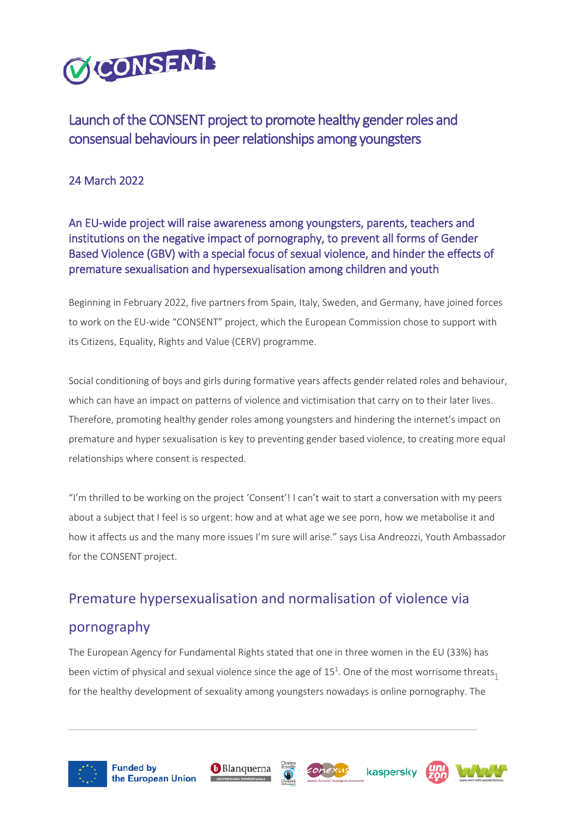

## Launch of the CONSENT project to promote healthy gender roles and consensual behaviours in peer relationships among youngsters

24 March 2022

An EU-wide project will raise awareness among youngsters, parents, teachers and institutions on the negative impact of pornography, to prevent all forms of Gender Based Violence (GBV) with a special focus of sexual violence, and hinder the effects of premature sexualisation and hypersexualisation among children and youth

Beginning in February 2022, five partners from Spain, Italy, Sweden, and Germany, have joined forces to work on the EU-wide "CONSENT" project, which the European Commission chose to support with its Citizens, Equality, Rights and Value (CERV) programme.

Social conditioning of boys and girls during formative years affects gender related roles and behaviour, which can have an impact on patterns of violence and victimisation that carry on to their later lives. Therefore, promoting healthy gender roles among youngsters and hindering the internet's impact on premature and hyper sexualisation is key to preventing gender based violence, to creating more equal relationships where consent is respected.

"I'm thrilled to be working on the project 'Consent'! I can't wait to start a conversation with my peers about a subject that I feel is so urgent: how and at what age we see porn, how we metabolise it and how it affects us and the many more issues I'm sure will arise." says Lisa Andreozzi, Youth Ambassador for the CONSENT project.

### Premature hypersexualisation and normalisation of violence via

#### pornography

been victim of physical and sexual violence since the age of 15<sup>1</sup>. One of the most worrisome threats<sub>1</sub> The European Agency for Fundamental Rights stated that one in three women in the EU (33%) has for the healthy development of sexuality among youngsters nowadays is online pornography. The









kaspersky

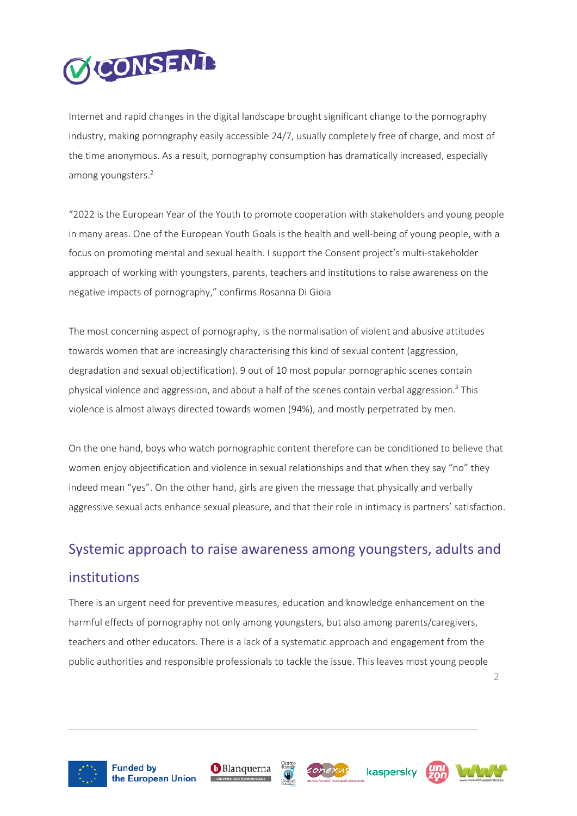

Internet and rapid changes in the digital landscape brought significant change to the pornography industry, making pornography easily accessible 24/7, usually completely free of charge, and most of the time anonymous. As a result, pornography consumption has dramatically increased, especially among youngsters. 2

"2022 is the European Year of the Youth to promote cooperation with stakeholders and young people in many areas. One of the European Youth Goals is the health and well-being of young people, with a focus on promoting mental and sexual health. I support the Consent project's multi-stakeholder approach of working with youngsters, parents, teachers and institutions to raise awareness on the negative impacts of pornography," confirms Rosanna Di Gioia

The most concerning aspect of pornography, is the normalisation of violent and abusive attitudes towards women that are increasingly characterising this kind of sexual content (aggression, degradation and sexual objectification). 9 out of 10 most popular pornographic scenes contain physical violence and aggression, and about a half of the scenes contain verbal aggression. <sup>3</sup> This violence is almost always directed towards women (94%), and mostly perpetrated by men.

On the one hand, boys who watch pornographic content therefore can be conditioned to believe that women enjoy objectification and violence in sexual relationships and that when they say "no" they indeed mean "yes". On the other hand, girls are given the message that physically and verbally aggressive sexual acts enhance sexual pleasure, and that their role in intimacy is partners' satisfaction.

# Systemic approach to raise awareness among youngsters, adults and institutions

There is an urgent need for preventive measures, education and knowledge enhancement on the harmful effects of pornography not only among youngsters, but also among parents/caregivers, teachers and other educators. There is a lack of a systematic approach and engagement from the public authorities and responsible professionals to tackle the issue. This leaves most young people













 $\mathcal{L}$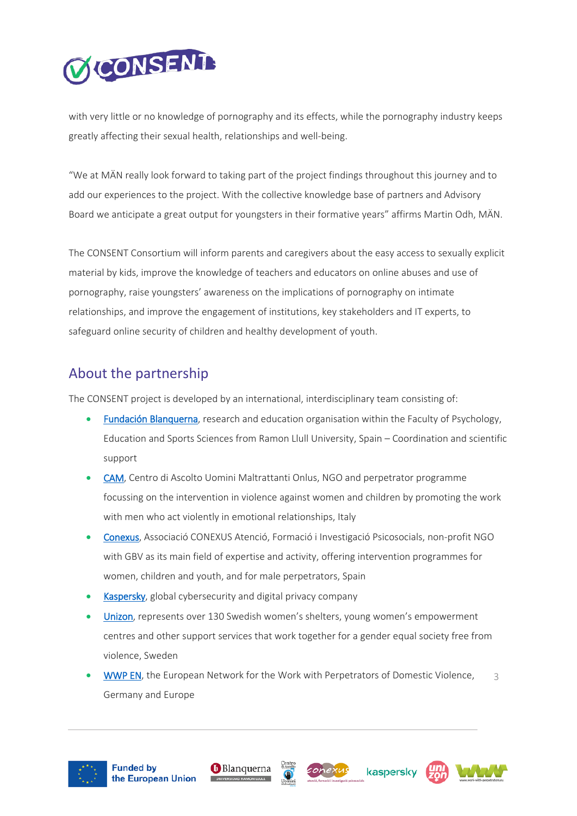

with very little or no knowledge of pornography and its effects, while the pornography industry keeps greatly affecting their sexual health, relationships and well-being.

"We at MÄN really look forward to taking part of the project findings throughout this journey and to add our experiences to the project. With the collective knowledge base of partners and Advisory Board we anticipate a great output for youngsters in their formative years" affirms Martin Odh, MÄN.

The CONSENT Consortium will inform parents and caregivers about the easy access to sexually explicit material by kids, improve the knowledge of teachers and educators on online abuses and use of pornography, raise youngsters' awareness on the implications of pornography on intimate relationships, and improve the engagement of institutions, key stakeholders and IT experts, to safeguard online security of children and healthy development of youth.

## About the partnership

The CONSENT project is developed by an international, interdisciplinary team consisting of:

- [Fundación Blanquerna,](http://recerca.blanquerna.edu/grpf/?lang=es#:%7E:text=El%20Grupo%20de%20Investigaci%C3%B3n%20de,familia%20tanto%20preventivos%20como%20terap%C3%A9uticos) research and education organisation within the Faculty of Psychology, Education and Sports Sciences from Ramon Llull University, Spain – Coordination and scientific support
- [CAM,](https://www.centrouominimaltrattanti.org/) Centro di Ascolto Uomini Maltrattanti Onlus, NGO and perpetrator programme focussing on the intervention in violence against women and children by promoting the work with men who act violently in emotional relationships, Italy
- [Conexus,](https://conexus.cat/) Associació CONEXUS Atenció, Formació i Investigació Psicosocials, non-profit NGO with GBV as its main field of expertise and activity, offering intervention programmes for women, children and youth, and for male perpetrators, Spain
- [Kaspersky,](http://www.kaspersky.com/) global cybersecurity and digital privacy company
- [Unizon,](https://www.unizonjourer.se/) represents over 130 Swedish women's shelters, young women's empowerment centres and other support services that work together for a gender equal society free from violence, Sweden
- 3 • [WWP EN,](https://www.work-with-perpetrators.eu/) the European Network for the Work with Perpetrators of Domestic Violence, Germany and Europe